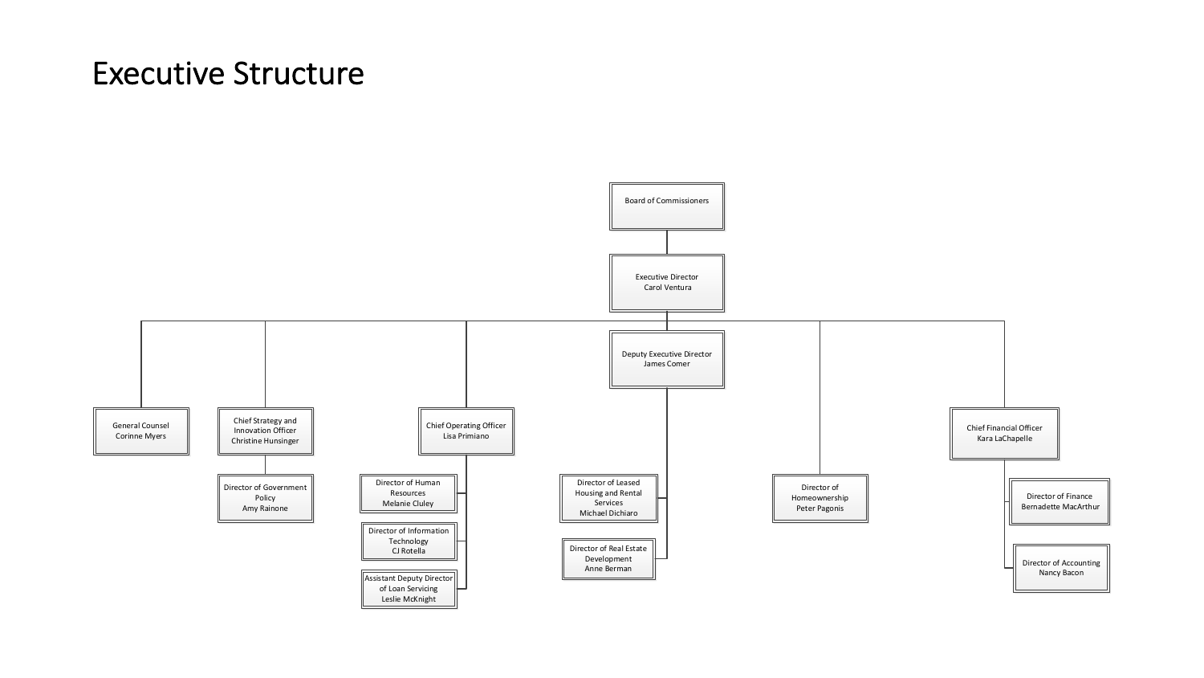#### Executive Structure

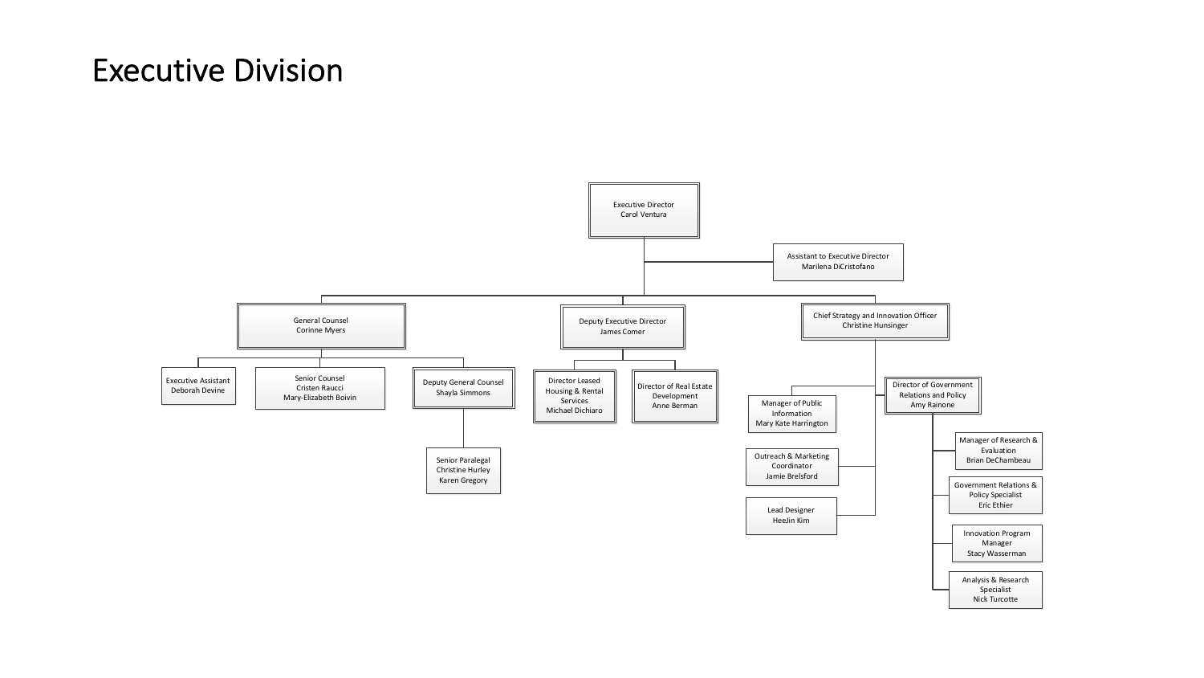## Executive Division

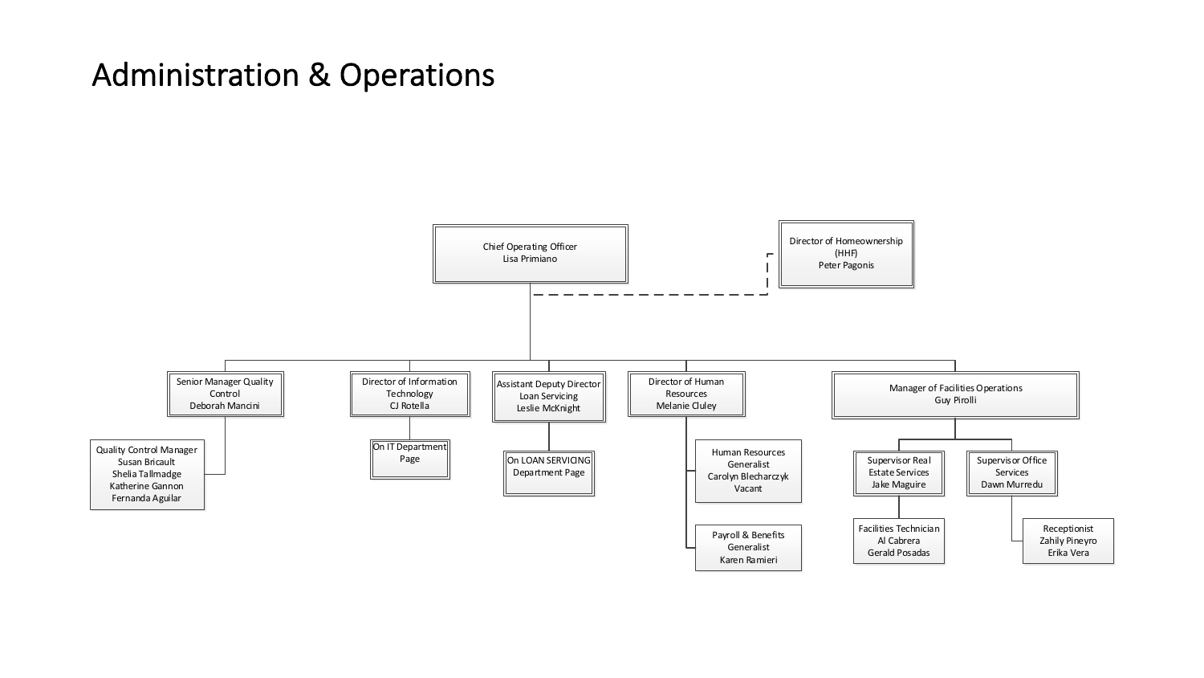# Administration & Operations

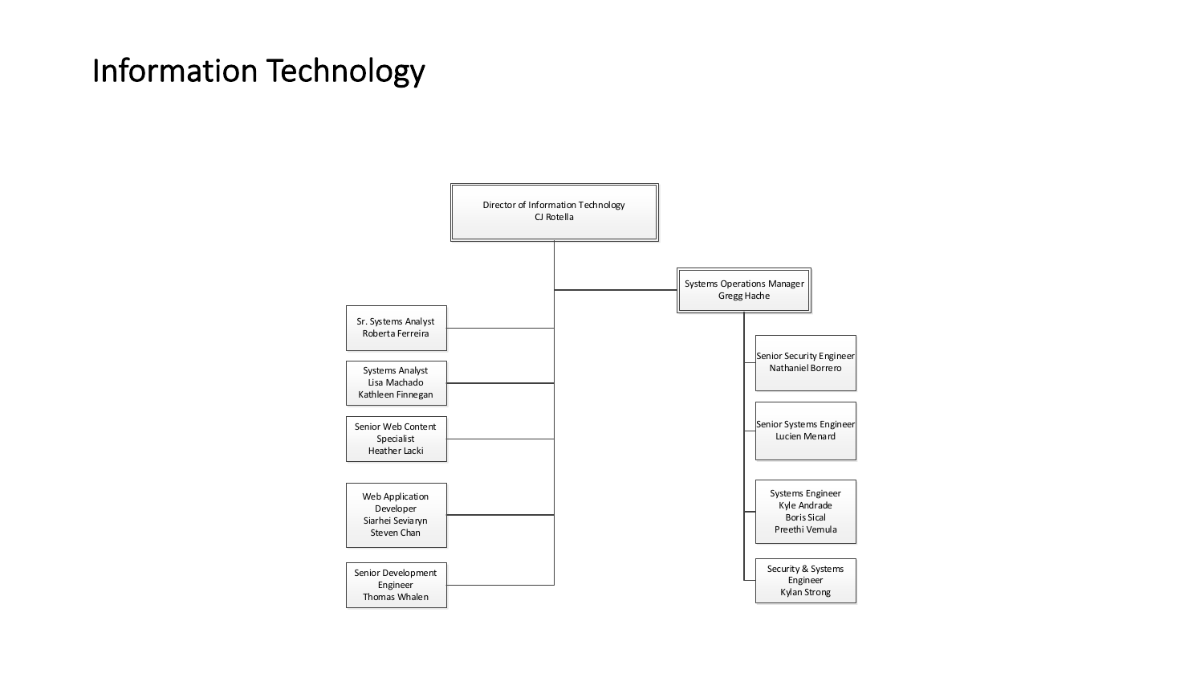## Information Technology

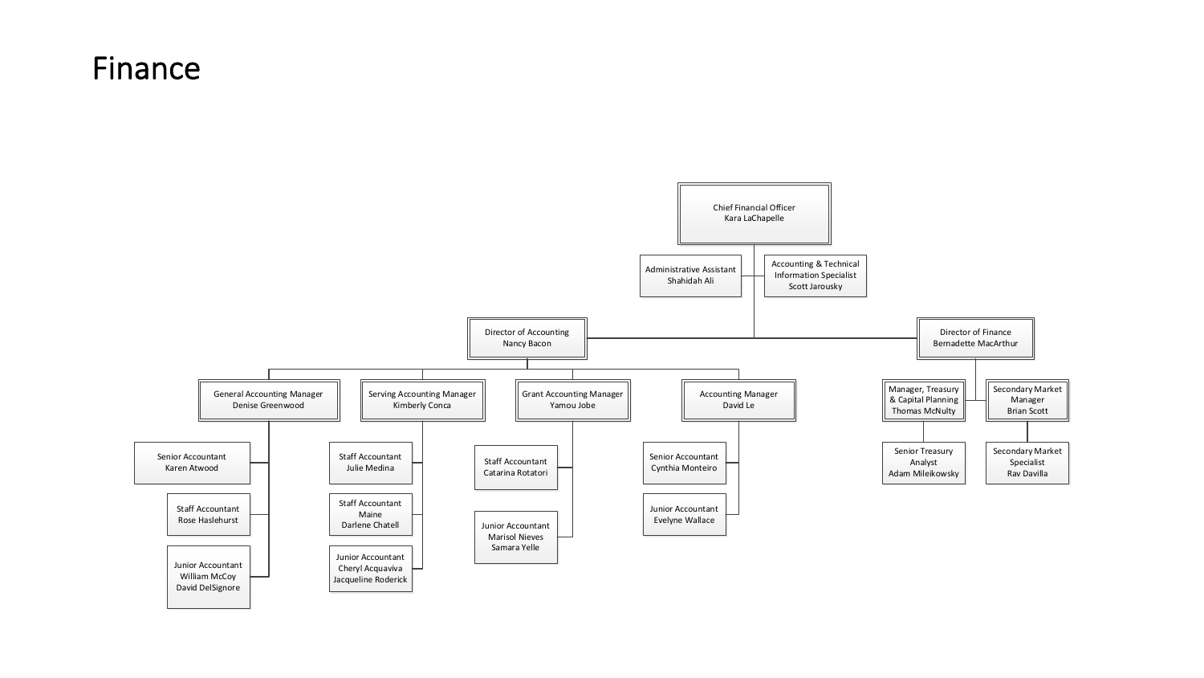#### Finance

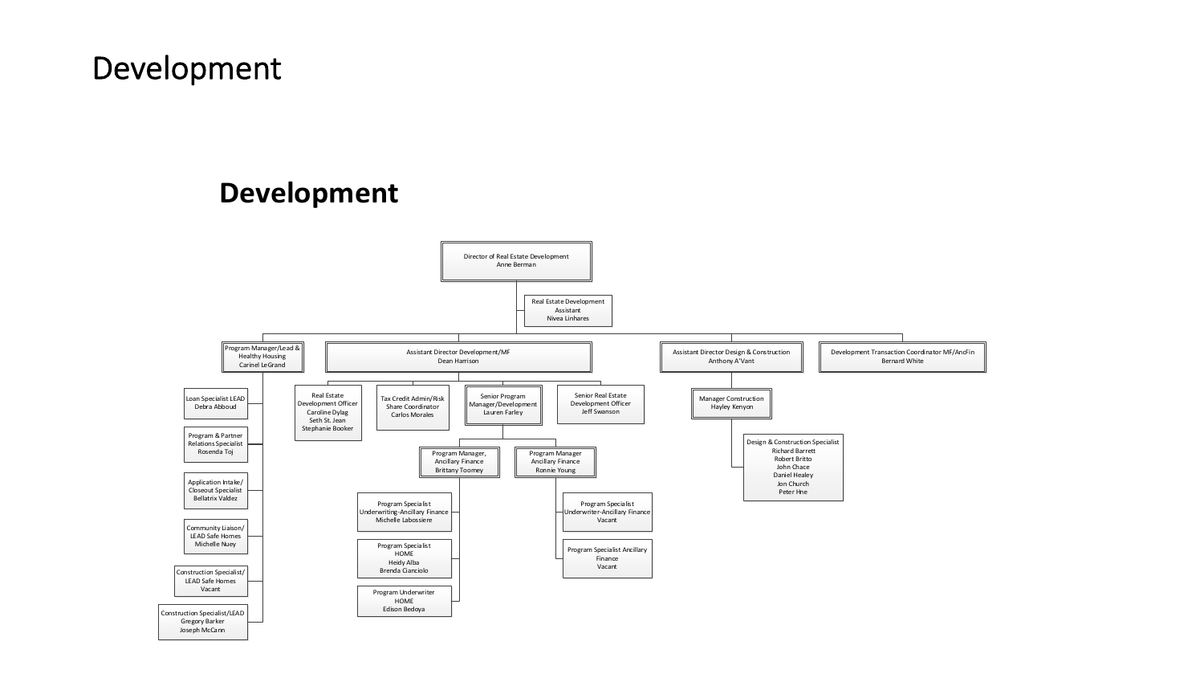## Development

#### **Development**

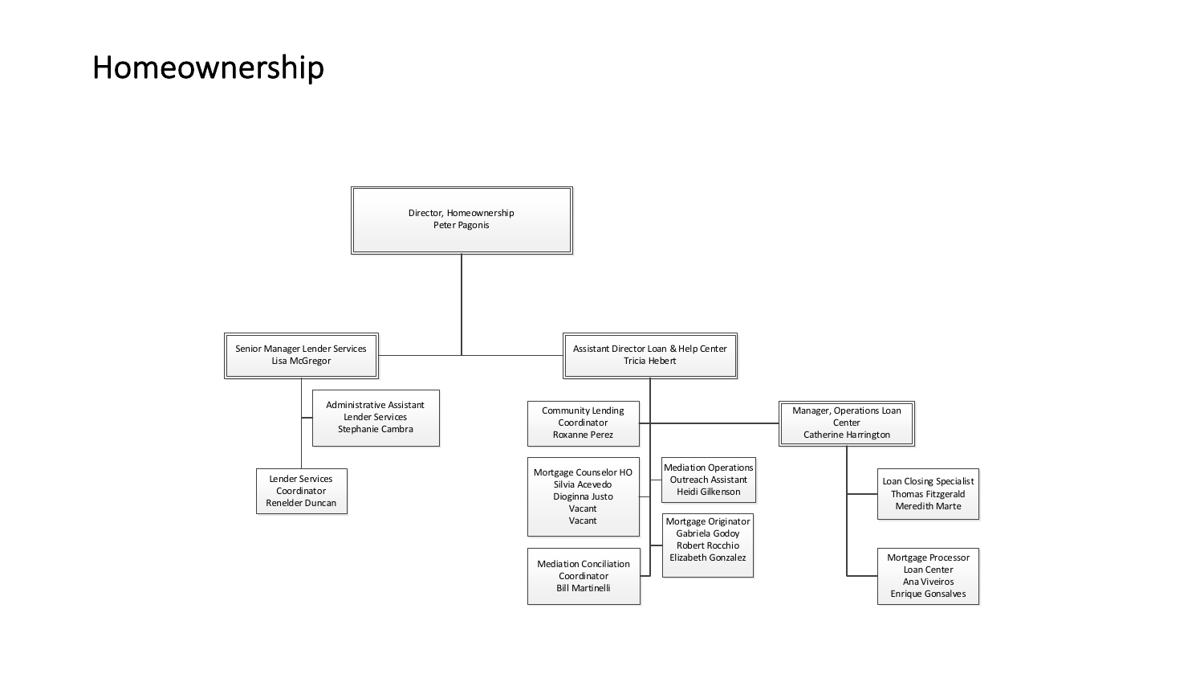## Homeownership

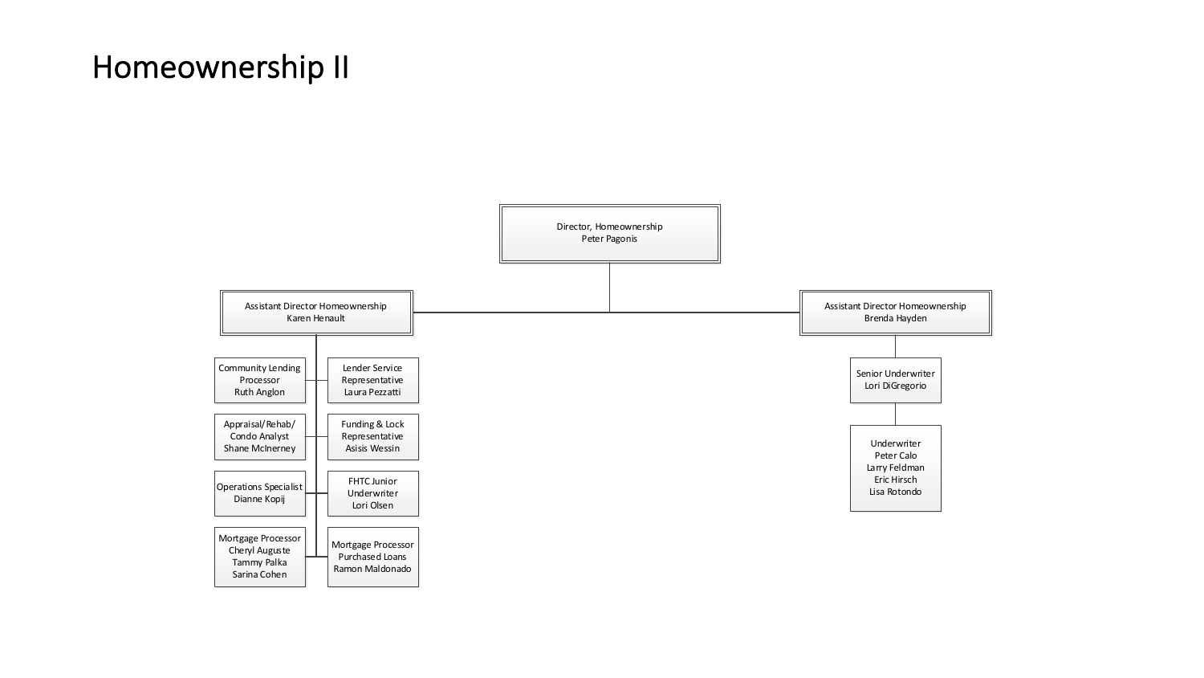# Homeownership II

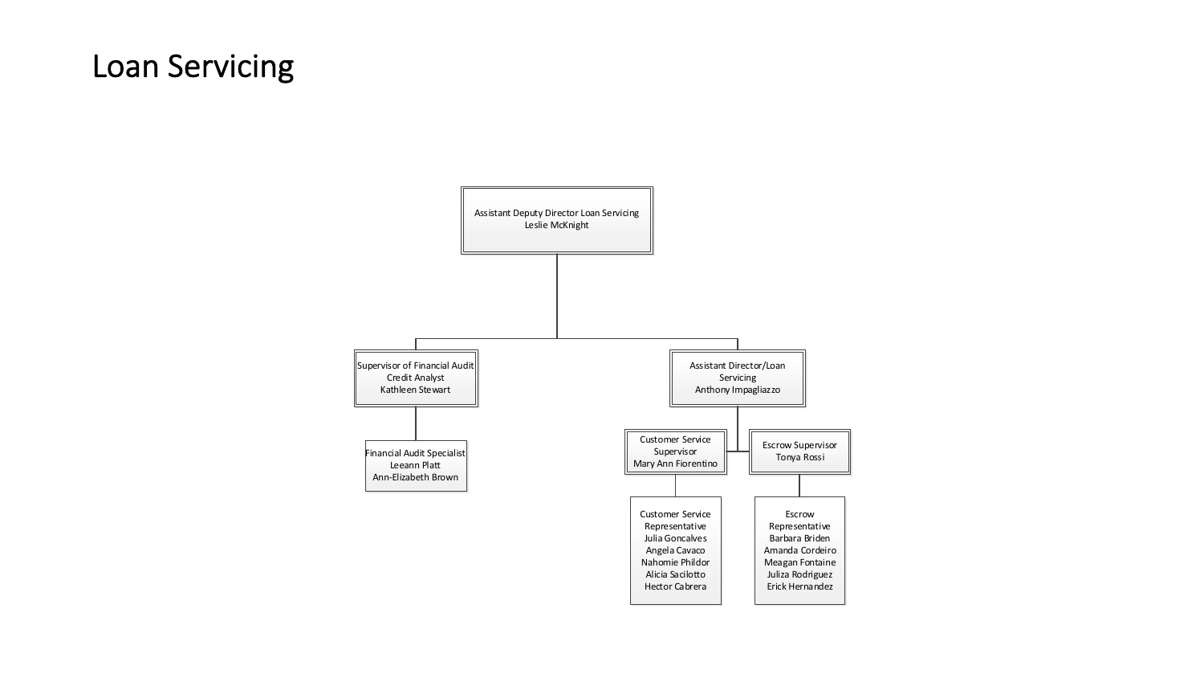## Loan Servicing

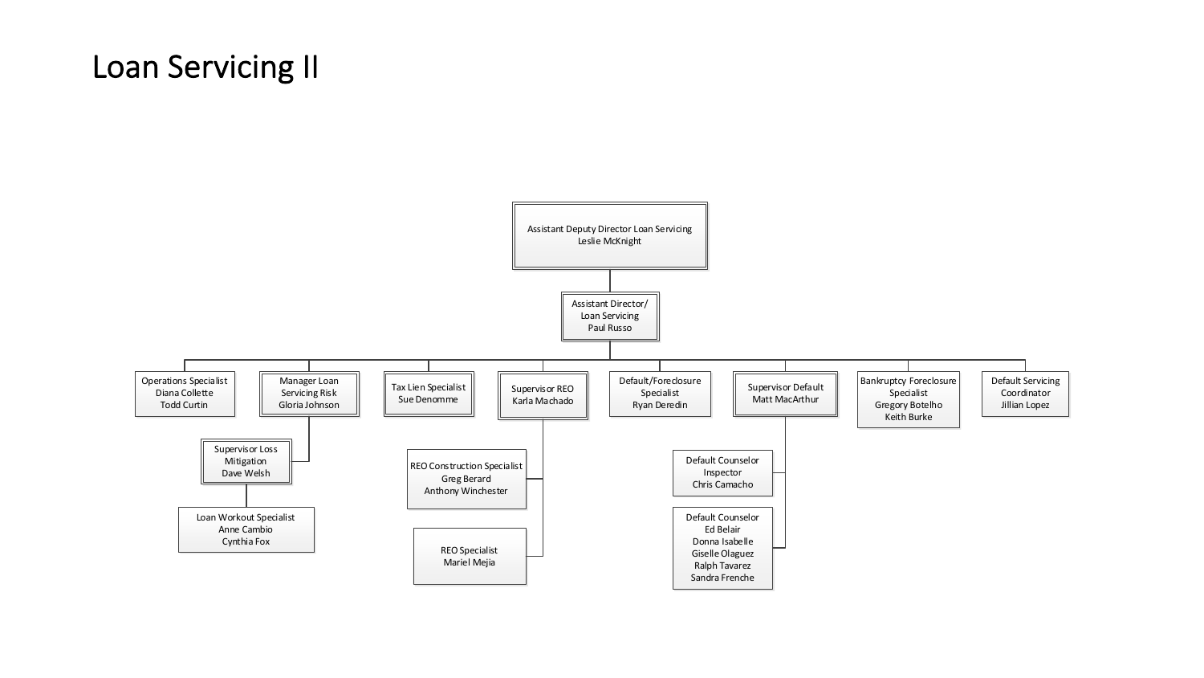# Loan Servicing II

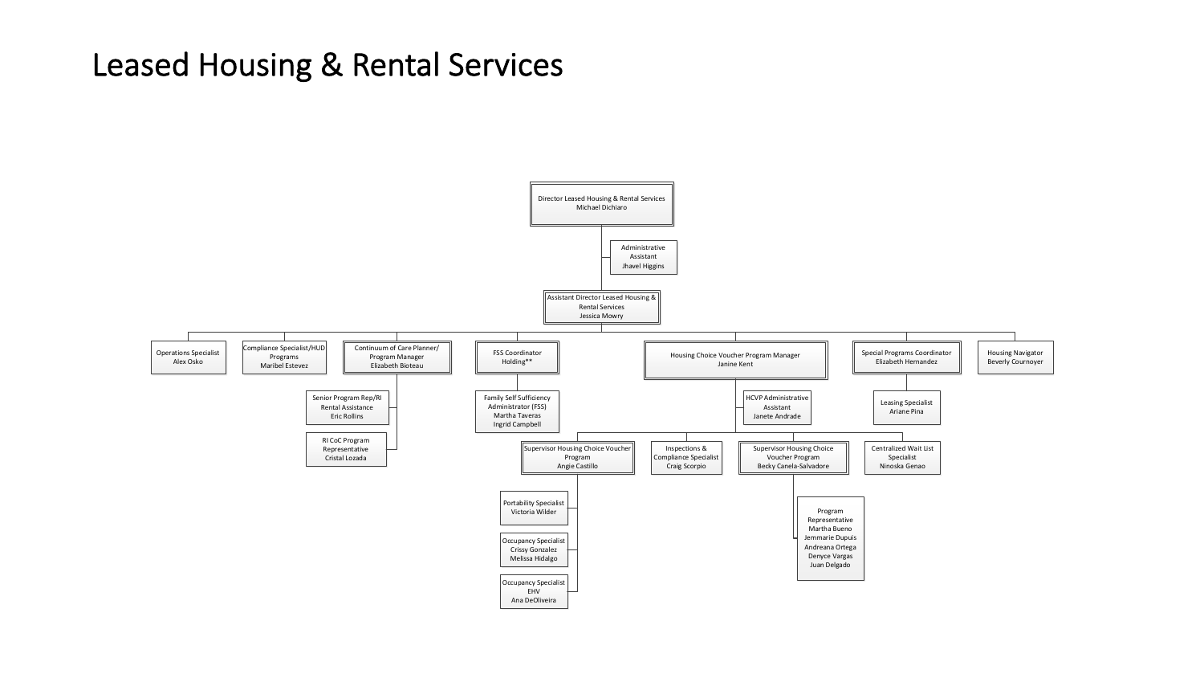#### Leased Housing & Rental Services

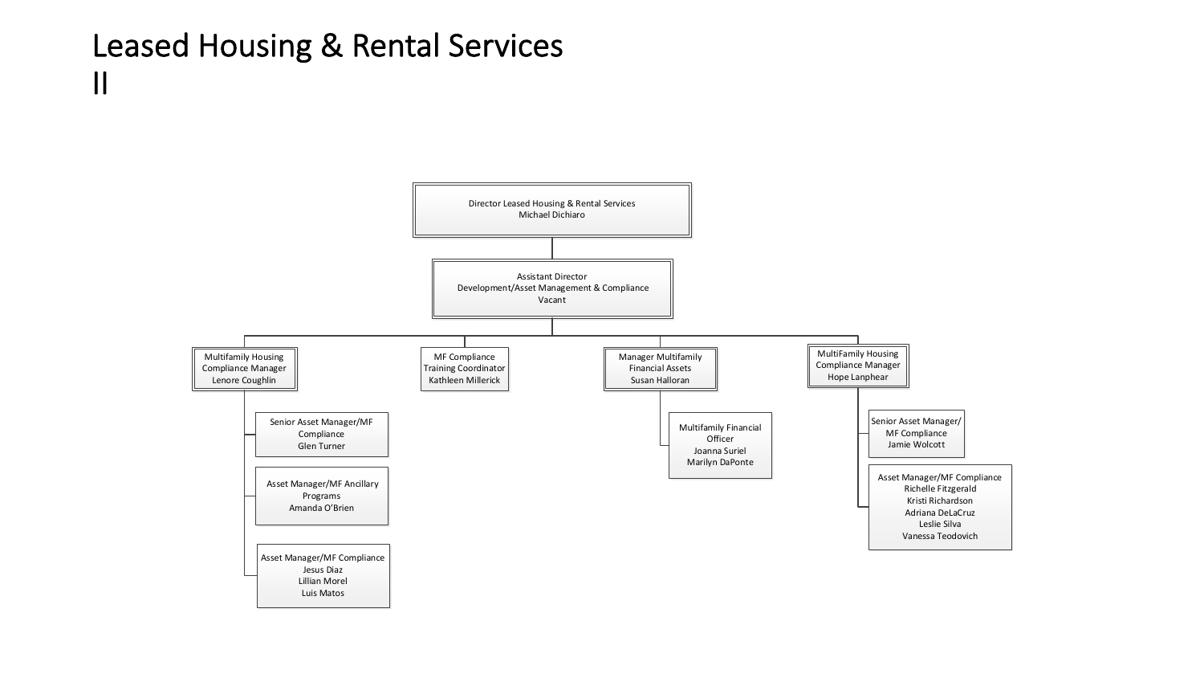## Leased Housing & Rental Services II

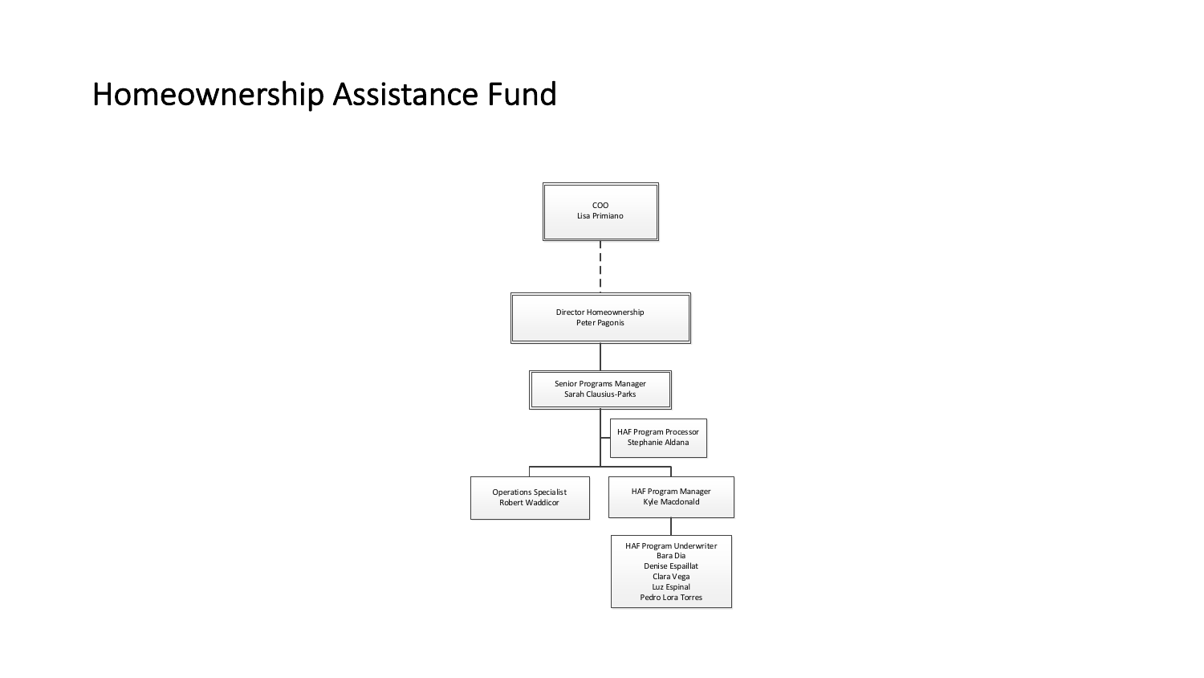## Homeownership Assistance Fund